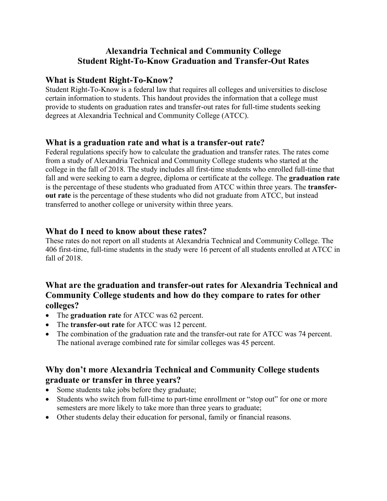# **Alexandria Technical and Community College Student Right-To-Know Graduation and Transfer-Out Rates**

#### **What is Student Right-To-Know?**

Student Right-To-Know is a federal law that requires all colleges and universities to disclose certain information to students. This handout provides the information that a college must provide to students on graduation rates and transfer-out rates for full-time students seeking degrees at Alexandria Technical and Community College (ATCC).

#### **What is a graduation rate and what is a transfer-out rate?**

Federal regulations specify how to calculate the graduation and transfer rates. The rates come from a study of Alexandria Technical and Community College students who started at the college in the fall of 2018. The study includes all first-time students who enrolled full-time that fall and were seeking to earn a degree, diploma or certificate at the college. The **graduation rate** is the percentage of these students who graduated from ATCC within three years. The **transferout rate** is the percentage of these students who did not graduate from ATCC, but instead transferred to another college or university within three years.

#### **What do I need to know about these rates?**

These rates do not report on all students at Alexandria Technical and Community College. The 406 first-time, full-time students in the study were 16 percent of all students enrolled at ATCC in fall of 2018.

### **What are the graduation and transfer-out rates for Alexandria Technical and Community College students and how do they compare to rates for other colleges?**

- The **graduation rate** for ATCC was 62 percent.
- The **transfer-out rate** for ATCC was 12 percent.
- The combination of the graduation rate and the transfer-out rate for ATCC was 74 percent. The national average combined rate for similar colleges was 45 percent.

# **Why don't more Alexandria Technical and Community College students graduate or transfer in three years?**

- Some students take jobs before they graduate;
- Students who switch from full-time to part-time enrollment or "stop out" for one or more semesters are more likely to take more than three years to graduate;
- Other students delay their education for personal, family or financial reasons.